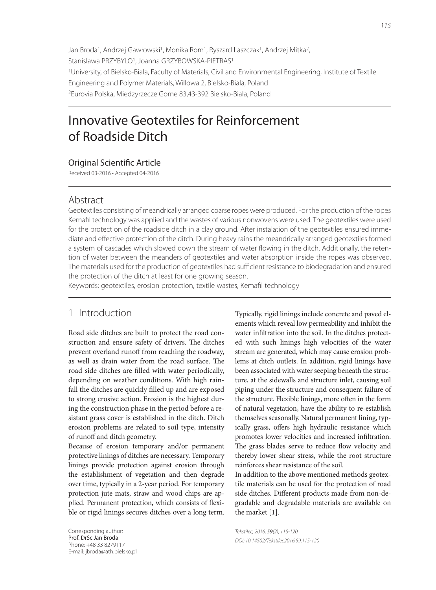Jan Broda<sup>1</sup>, Andrzej Gawłowski<sup>1</sup>, Monika Rom<sup>1</sup>, Ryszard Laszczak<sup>1</sup>, Andrzej Mitka<sup>2</sup>, Stanislawa PRZYBYLO<sup>1</sup>, Joanna GRZYBOWSKA-PIETRAS<sup>1</sup> 1University, of Bielsko-Biala, Faculty of Materials, Civil and Environmental Engineering, Institute of Textile Engineering and Polymer Materials, Willowa 2, Bielsko-Biala, Poland 2Eurovia Polska, Miedzyrzecze Gorne 83,43-392 Bielsko-Biala, Poland

# Innovative Geotextiles for Reinforcement of Roadside Ditch

### **Original Scientific Article**

Received 03-2016 • Accepted 04-2016

### Abstract

Geotextiles consisting of meandrically arranged coarse ropes were produced. For the production of the ropes Kemafi l technology was applied and the wastes of various nonwovens were used. The geotextiles were used for the protection of the roadside ditch in a clay ground. After instalation of the geotextiles ensured immediate and effective protection of the ditch. During heavy rains the meandrically arranged geotextiles formed a system of cascades which slowed down the stream of water flowing in the ditch. Additionally, the retention of water between the meanders of geotextiles and water absorption inside the ropes was observed. The materials used for the production of geotextiles had sufficient resistance to biodegradation and ensured the protection of the ditch at least for one growing season.

Keywords: geotextiles, erosion protection, textile wastes, Kemafil technology

## 1 Introduction

Road side ditches are built to protect the road construction and ensure safety of drivers. The ditches prevent overland runoff from reaching the roadway, as well as drain water from the road surface. The road side ditches are filled with water periodically, depending on weather conditions. With high rainfall the ditches are quickly filled up and are exposed to strong erosive action. Erosion is the highest during the construction phase in the period before a resistant grass cover is established in the ditch. Ditch erosion problems are related to soil type, intensity of runoff and ditch geometry.

Because of erosion temporary and/or permanent protective linings of ditches are necessary. Temporary linings provide protection against erosion through the establishment of vegetation and then degrade over time, typically in a 2-year period. For temporary protection jute mats, straw and wood chips are applied. Permanent protection, which consists of flexible or rigid linings secures ditches over a long term.

Corresponding author: Prof. DrSc Jan Broda Phone: +48 33 8279117 E-mail: jbroda@ath.bielsko.pl Typically, rigid linings include concrete and paved elements which reveal low permeability and inhibit the water infiltration into the soil. In the ditches protected with such linings high velocities of the water stream are generated, which may cause erosion problems at ditch outlets. In addition, rigid linings have been associated with water seeping beneath the structure, at the sidewalls and structure inlet, causing soil piping under the structure and consequent failure of the structure. Flexible linings, more often in the form of natural vegetation, have the ability to re-establish themselves seasonally. Natural permanent lining, typically grass, offers high hydraulic resistance which promotes lower velocities and increased infiltration. The grass blades serve to reduce flow velocity and thereby lower shear stress, while the root structure reinforces shear resistance of the soil.

In addition to the above mentioned methods geotextile materials can be used for the protection of road side ditches. Different products made from non-degradable and degradable materials are available on the market [1].

Tekstilec, 2016, 59(2), 115-120 DOI: 10.14502/Tekstilec2016.59.115-120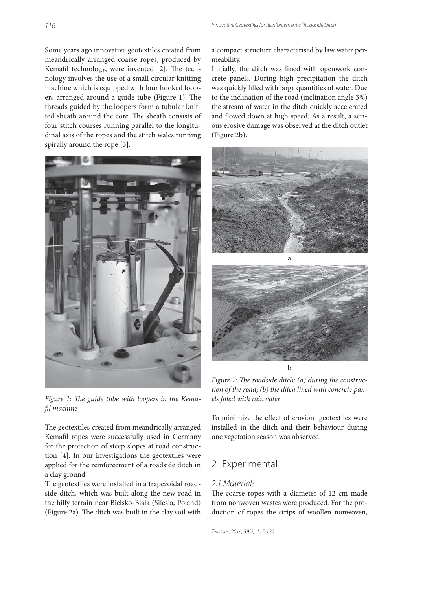Some years ago innovative geotextiles created from meandrically arranged coarse ropes, produced by Kemafil technology, were invented [2]. The technology involves the use of a small circular knitting machine which is equipped with four hooked loopers arranged around a guide tube (Figure 1). The threads guided by the loopers form a tubular knitted sheath around the core. The sheath consists of four stitch courses running parallel to the longitudinal axis of the ropes and the stitch wales running spirally around the rope [3].



Figure 1: The guide tube with loopers in the Kemafil machine

The geotextiles created from meandrically arranged Kemafil ropes were successfully used in Germany for the protection of steep slopes at road construction [4]. In our investigations the geotextiles were applied for the reinforcement of a roadside ditch in a clay ground.

The geotextiles were installed in a trapezoidal roadside ditch, which was built along the new road in the hilly terrain near Bielsko-Biala (Silesia, Poland) (Figure 2a). The ditch was built in the clay soil with

a compact structure characterised by law water permeability.

Initially, the ditch was lined with openwork concrete panels. During high precipitation the ditch was quickly filled with large quantities of water. Due to the inclination of the road (inclination angle 3%) the stream of water in the ditch quickly accelerated and flowed down at high speed. As a result, a serious erosive damage was observed at the ditch outlet (Figure 2b).



Figure 2: The roadside ditch: (a) during the construction of the road; (b) the ditch lined with concrete panels filled with rainwater

To minimize the effect of erosion geotextiles were installed in the ditch and their behaviour during one vegetation season was observed.

## 2 Experimental

#### 2.1 Materials

The coarse ropes with a diameter of 12 cm made from nonwoven wastes were produced. For the production of ropes the strips of woollen nonwoven,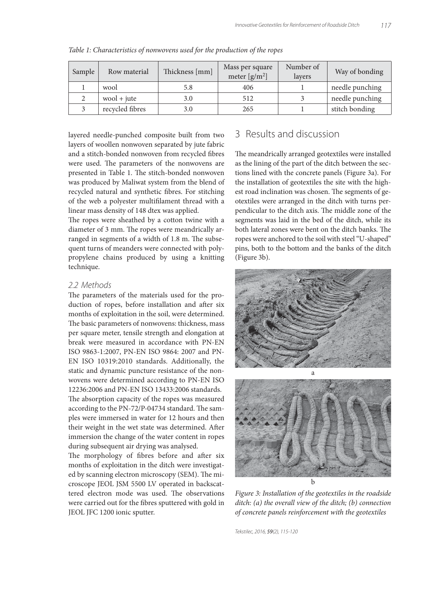| Sample | Row material    | Thickness [mm] | Mass per square<br>meter $[g/m^2]$ | Number of<br>layers | Way of bonding  |  |
|--------|-----------------|----------------|------------------------------------|---------------------|-----------------|--|
|        | wool            | 5.8            | 406                                |                     | needle punching |  |
|        | $wood + iute$   | 3.0            | 512                                |                     | needle punching |  |
|        | recycled fibres | 3.0            | 265                                |                     | stitch bonding  |  |

Table 1: Characteristics of nonwovens used for the production of the ropes

layered needle-punched composite built from two layers of woollen nonwoven separated by jute fabric and a stitch-bonded nonwoven from recycled fibres were used. The parameters of the nonwovens are presented in Table 1. The stitch-bonded nonwoven was produced by Maliwat system from the blend of recycled natural and synthetic fibres. For stitching of the web a polyester multifilament thread with a linear mass density of 148 dtex was applied.

The ropes were sheathed by a cotton twine with a diameter of 3 mm. The ropes were meandrically arranged in segments of a width of 1.8 m. The subsequent turns of meanders were connected with polypropylene chains produced by using a knitting technique.

#### 2.2 Methods

The parameters of the materials used for the production of ropes, before installation and after six months of exploitation in the soil, were determined. The basic parameters of nonwovens: thickness, mass per square meter, tensile strength and elongation at break were measured in accordance with PN-EN ISO 9863-1:2007, PN-EN ISO 9864: 2007 and PN-EN ISO 10319:2010 standards. Additionally, the static and dynamic puncture resistance of the nonwovens were determined according to PN-EN ISO 12236:2006 and PN-EN ISO 13433:2006 standards. The absorption capacity of the ropes was measured according to the PN-72/P-04734 standard. The samples were immersed in water for 12 hours and then their weight in the wet state was determined. After immersion the change of the water content in ropes during subsequent air drying was analysed.

The morphology of fibres before and after six months of exploitation in the ditch were investigated by scanning electron microscopy (SEM). The microscope JEOL JSM 5500 LV operated in backscattered electron mode was used. The observations were carried out for the fibres sputtered with gold in JEOL JFC 1200 ionic sputter.

# 3 Results and discussion

The meandrically arranged geotextiles were installed as the lining of the part of the ditch between the sections lined with the concrete panels (Figure 3a). For the installation of geotextiles the site with the highest road inclination was chosen. The segments of geotextiles were arranged in the ditch with turns perpendicular to the ditch axis. The middle zone of the segments was laid in the bed of the ditch, while its both lateral zones were bent on the ditch banks. The ropes were anchored to the soil with steel "U-shaped" pins, both to the bottom and the banks of the ditch (Figure 3b).





Figure 3: Installation of the geotextiles in the roadside ditch: (a) the overall view of the ditch; (b) connection of concrete panels reinforcement with the geotextiles

Tekstilec, 2016, 59(2), 115-120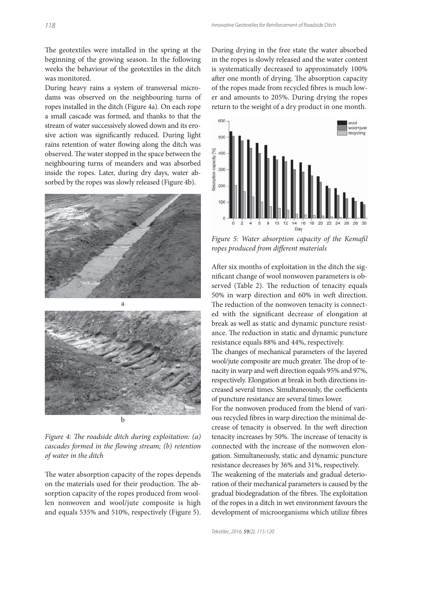The geotextiles were installed in the spring at the beginning of the growing season. In the following weeks the behaviour of the geotextiles in the ditch was monitored.

During heavy rains a system of transversal microdams was observed on the neighbouring turns of ropes installed in the ditch (Figure 4a). On each rope a small cascade was formed, and thanks to that the stream of water successively slowed down and its erosive action was significantly reduced. During light rains retention of water flowing along the ditch was observed. The water stopped in the space between the neighbouring turns of meanders and was absorbed inside the ropes. Later, during dry days, water absorbed by the ropes was slowly released (Figure 4b).



Figure 4: The roadside ditch during exploitation:  $(a)$ cascades formed in the flowing stream; (b) retention of water in the ditch

The water absorption capacity of the ropes depends on the materials used for their production. The absorption capacity of the ropes produced from woollen nonwoven and wool/jute composite is high and equals 535% and 510%, respectively (Figure 5).

During drying in the free state the water absorbed in the ropes is slowly released and the water content is systematically decreased to approximately 100% after one month of drying. The absorption capacity of the ropes made from recycled fibres is much lower and amounts to 205%. During drying the ropes return to the weight of a dry product in one month.



Figure 5: Water absorption capacity of the Kemafil ropes produced from different materials

After six months of exploitation in the ditch the significant change of wool nonwoven parameters is observed (Table 2). The reduction of tenacity equals 50% in warp direction and 60% in weft direction. The reduction of the nonwoven tenacity is connected with the significant decrease of elongation at break as well as static and dynamic puncture resistance. The reduction in static and dynamic puncture resistance equals 88% and 44%, respectively.

The changes of mechanical parameters of the layered wool/jute composite are much greater. The drop of tenacity in warp and weft direction equals 95% and 97%, respectively. Elongation at break in both directions increased several times. Simultaneously, the coefficients of puncture resistance are several times lower.

For the nonwoven produced from the blend of various recycled fibres in warp direction the minimal decrease of tenacity is observed. In the weft direction tenacity increases by 50%. The increase of tenacity is connected with the increase of the nonwoven elongation. Simultaneously, static and dynamic puncture resistance decreases by 36% and 31%, respectively. The weakening of the materials and gradual deterioration of their mechanical parameters is caused by the gradual biodegradation of the fibres. The exploitation of the ropes in a ditch in wet environment favours the development of microorganisms which utilize fibres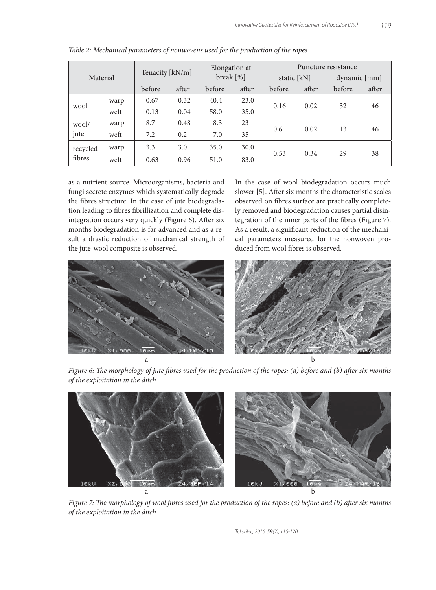| Material           |      | Tenacity [kN/m] |       | Elongation at<br>break [%] |       | Puncture resistance |       |                   |       |
|--------------------|------|-----------------|-------|----------------------------|-------|---------------------|-------|-------------------|-------|
|                    |      |                 |       |                            |       | static $[kN]$       |       | $d$ ynamic $[mm]$ |       |
|                    |      | before          | after | before                     | after | before              | after | before            | after |
| wool               | warp | 0.67            | 0.32  | 40.4                       | 23.0  | 0.16                | 0.02  | 32                | 46    |
|                    | weft | 0.13            | 0.04  | 58.0                       | 35.0  |                     |       |                   |       |
| wool/<br>jute      | warp | 8.7             | 0.48  | 8.3                        | 23    | 0.6                 | 0.02  | 13                | 46    |
|                    | weft | 7.2             | 0.2   | 7.0                        | 35    |                     |       |                   |       |
| recycled<br>fibres | warp | 3.3             | 3.0   | 35.0                       | 30.0  | 0.53                | 0.34  | 29                | 38    |
|                    | weft | 0.63            | 0.96  | 51.0                       | 83.0  |                     |       |                   |       |

Table 2: Mechanical parameters of nonwovens used for the production of the ropes

as a nutrient source. Microorganisms, bacteria and fungi secrete enzymes which systematically degrade the fibres structure. In the case of jute biodegradation leading to fibres fibrillization and complete disintegration occurs very quickly (Figure 6). After six months biodegradation is far advanced and as a result a drastic reduction of mechanical strength of the jute-wool composite is observed.

In the case of wool biodegradation occurs much slower [5]. After six months the characteristic scales observed on fibres surface are practically completely removed and biodegradation causes partial disintegration of the inner parts of the fibres (Figure 7). As a result, a significant reduction of the mechanical parameters measured for the nonwoven produced from wool fibres is observed.



Figure 6: The morphology of jute fibres used for the production of the ropes: (a) before and (b) after six months of the exploitation in the ditch



Figure 7: The morphology of wool fibres used for the production of the ropes: (a) before and (b) after six months of the exploitation in the ditch

Tekstilec, 2016, 59(2), 115-120